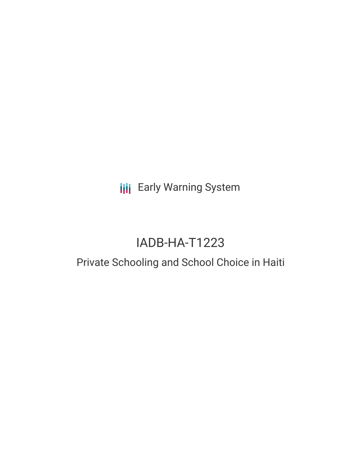# **III** Early Warning System

# IADB-HA-T1223

## Private Schooling and School Choice in Haiti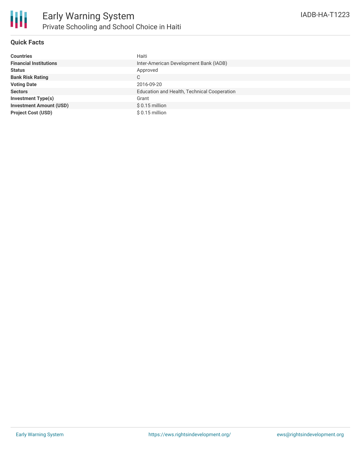

#### **Quick Facts**

| <b>Countries</b>               | Haiti                                       |
|--------------------------------|---------------------------------------------|
| <b>Financial Institutions</b>  | Inter-American Development Bank (IADB)      |
| <b>Status</b>                  | Approved                                    |
| <b>Bank Risk Rating</b>        | C                                           |
| <b>Voting Date</b>             | 2016-09-20                                  |
| <b>Sectors</b>                 | Education and Health, Technical Cooperation |
| <b>Investment Type(s)</b>      | Grant                                       |
| <b>Investment Amount (USD)</b> | $$0.15$ million                             |
| <b>Project Cost (USD)</b>      | $$0.15$ million                             |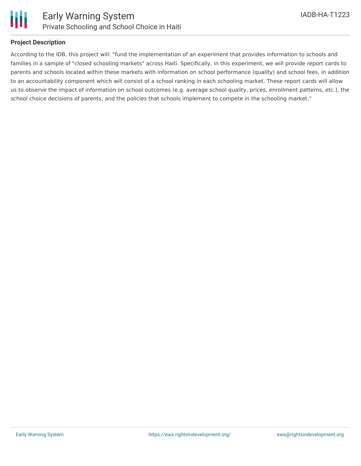

#### **Project Description**

According to the IDB, this project will: "fund the implementation of an experiment that provides information to schools and families in a sample of "closed schooling markets" across Haiti. Specifically, in this experiment, we will provide report cards to parents and schools located within these markets with information on school performance (quality) and school fees, in addition to an accountability component which will consist of a school ranking in each schooling market. These report cards will allow us to observe the impact of information on school outcomes (e.g. average school quality, prices, enrollment patterns, etc.), the school choice decisions of parents, and the policies that schools implement to compete in the schooling market."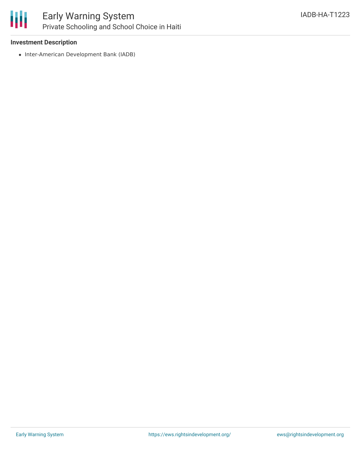

## Early Warning System Private Schooling and School Choice in Haiti

#### **Investment Description**

• Inter-American Development Bank (IADB)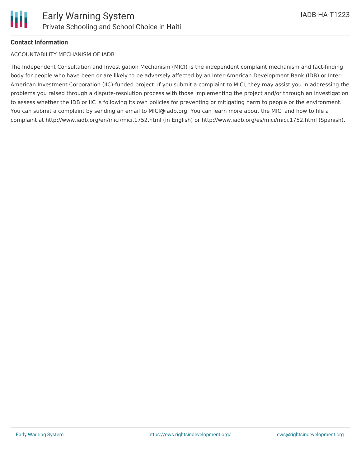

#### **Contact Information**

#### ACCOUNTABILITY MECHANISM OF IADB

The Independent Consultation and Investigation Mechanism (MICI) is the independent complaint mechanism and fact-finding body for people who have been or are likely to be adversely affected by an Inter-American Development Bank (IDB) or Inter-American Investment Corporation (IIC)-funded project. If you submit a complaint to MICI, they may assist you in addressing the problems you raised through a dispute-resolution process with those implementing the project and/or through an investigation to assess whether the IDB or IIC is following its own policies for preventing or mitigating harm to people or the environment. You can submit a complaint by sending an email to MICI@iadb.org. You can learn more about the MICI and how to file a complaint at http://www.iadb.org/en/mici/mici,1752.html (in English) or http://www.iadb.org/es/mici/mici,1752.html (Spanish).